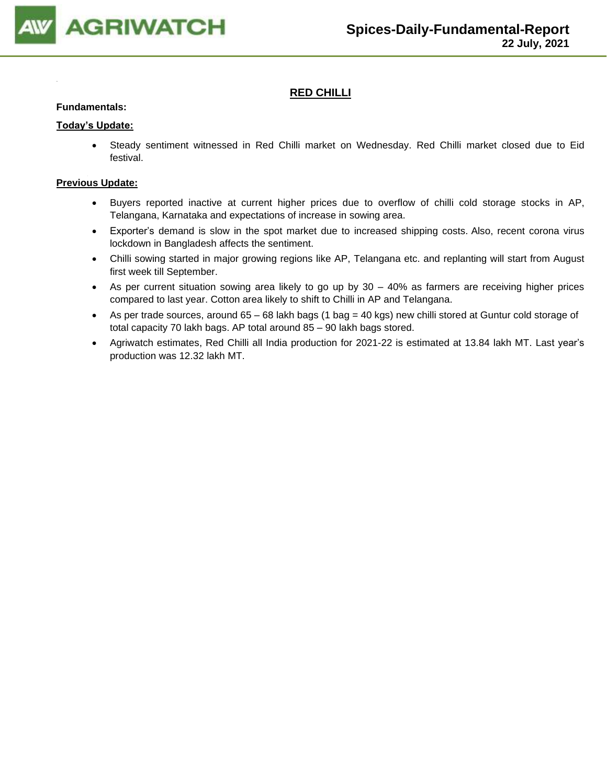

# **RED CHILLI**

#### **Fundamentals:**

#### **Today's Update:**

• Steady sentiment witnessed in Red Chilli market on Wednesday. Red Chilli market closed due to Eid festival.

- Buyers reported inactive at current higher prices due to overflow of chilli cold storage stocks in AP, Telangana, Karnataka and expectations of increase in sowing area.
- Exporter's demand is slow in the spot market due to increased shipping costs. Also, recent corona virus lockdown in Bangladesh affects the sentiment.
- Chilli sowing started in major growing regions like AP, Telangana etc. and replanting will start from August first week till September.
- As per current situation sowing area likely to go up by 30 40% as farmers are receiving higher prices compared to last year. Cotton area likely to shift to Chilli in AP and Telangana.
- As per trade sources, around 65 68 lakh bags (1 bag = 40 kgs) new chilli stored at Guntur cold storage of total capacity 70 lakh bags. AP total around 85 – 90 lakh bags stored.
- Agriwatch estimates, Red Chilli all India production for 2021-22 is estimated at 13.84 lakh MT. Last year's production was 12.32 lakh MT.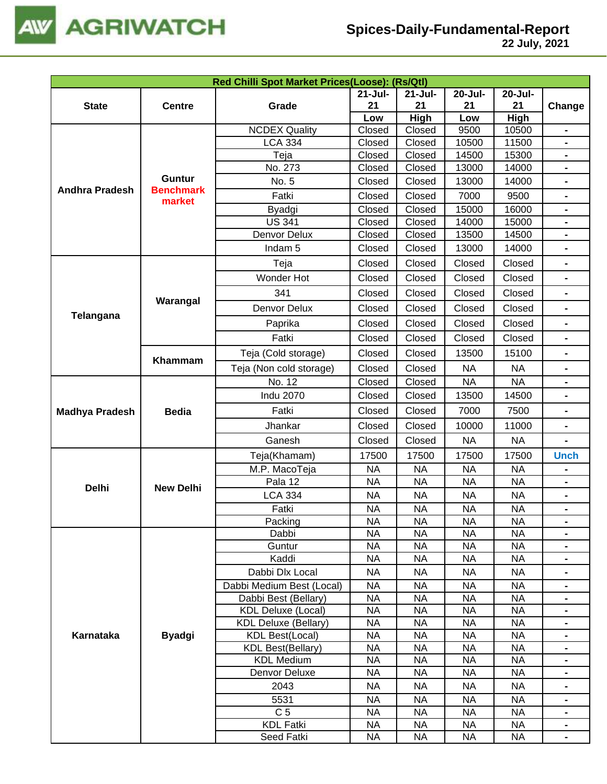

|                                                                                                                                                                                                                                                                                                                                                                                                                                                                                                                                                                                                                                                                                                                                                                                                                                                                                                                                           |                                                                                                                                                                                                                                                                                                                                                                                                                                                                                                                                                                                                                                                                                                                                                                                                                                                                                                                                                                                                                                                                                                                                                                                                                                                                                                                                                                                                                                                                                                                                                                                                                                                                                                                                                                                                                                                                                                                                                                                                                                                                                                                                                                                                                            | Red Chilli Spot Market Prices(Loose): (Rs/Qtl) |             |             |         |         |                |
|-------------------------------------------------------------------------------------------------------------------------------------------------------------------------------------------------------------------------------------------------------------------------------------------------------------------------------------------------------------------------------------------------------------------------------------------------------------------------------------------------------------------------------------------------------------------------------------------------------------------------------------------------------------------------------------------------------------------------------------------------------------------------------------------------------------------------------------------------------------------------------------------------------------------------------------------|----------------------------------------------------------------------------------------------------------------------------------------------------------------------------------------------------------------------------------------------------------------------------------------------------------------------------------------------------------------------------------------------------------------------------------------------------------------------------------------------------------------------------------------------------------------------------------------------------------------------------------------------------------------------------------------------------------------------------------------------------------------------------------------------------------------------------------------------------------------------------------------------------------------------------------------------------------------------------------------------------------------------------------------------------------------------------------------------------------------------------------------------------------------------------------------------------------------------------------------------------------------------------------------------------------------------------------------------------------------------------------------------------------------------------------------------------------------------------------------------------------------------------------------------------------------------------------------------------------------------------------------------------------------------------------------------------------------------------------------------------------------------------------------------------------------------------------------------------------------------------------------------------------------------------------------------------------------------------------------------------------------------------------------------------------------------------------------------------------------------------------------------------------------------------------------------------------------------------|------------------------------------------------|-------------|-------------|---------|---------|----------------|
|                                                                                                                                                                                                                                                                                                                                                                                                                                                                                                                                                                                                                                                                                                                                                                                                                                                                                                                                           |                                                                                                                                                                                                                                                                                                                                                                                                                                                                                                                                                                                                                                                                                                                                                                                                                                                                                                                                                                                                                                                                                                                                                                                                                                                                                                                                                                                                                                                                                                                                                                                                                                                                                                                                                                                                                                                                                                                                                                                                                                                                                                                                                                                                                            |                                                | $21 -$ Jul- | $21 -$ Jul- | 20-Jul- | 20-Jul- |                |
| <b>State</b>                                                                                                                                                                                                                                                                                                                                                                                                                                                                                                                                                                                                                                                                                                                                                                                                                                                                                                                              | <b>Centre</b>                                                                                                                                                                                                                                                                                                                                                                                                                                                                                                                                                                                                                                                                                                                                                                                                                                                                                                                                                                                                                                                                                                                                                                                                                                                                                                                                                                                                                                                                                                                                                                                                                                                                                                                                                                                                                                                                                                                                                                                                                                                                                                                                                                                                              | Grade                                          | 21          | 21          | 21      | 21      | Change         |
|                                                                                                                                                                                                                                                                                                                                                                                                                                                                                                                                                                                                                                                                                                                                                                                                                                                                                                                                           |                                                                                                                                                                                                                                                                                                                                                                                                                                                                                                                                                                                                                                                                                                                                                                                                                                                                                                                                                                                                                                                                                                                                                                                                                                                                                                                                                                                                                                                                                                                                                                                                                                                                                                                                                                                                                                                                                                                                                                                                                                                                                                                                                                                                                            |                                                | Low         |             |         |         |                |
|                                                                                                                                                                                                                                                                                                                                                                                                                                                                                                                                                                                                                                                                                                                                                                                                                                                                                                                                           |                                                                                                                                                                                                                                                                                                                                                                                                                                                                                                                                                                                                                                                                                                                                                                                                                                                                                                                                                                                                                                                                                                                                                                                                                                                                                                                                                                                                                                                                                                                                                                                                                                                                                                                                                                                                                                                                                                                                                                                                                                                                                                                                                                                                                            |                                                |             |             |         |         |                |
|                                                                                                                                                                                                                                                                                                                                                                                                                                                                                                                                                                                                                                                                                                                                                                                                                                                                                                                                           |                                                                                                                                                                                                                                                                                                                                                                                                                                                                                                                                                                                                                                                                                                                                                                                                                                                                                                                                                                                                                                                                                                                                                                                                                                                                                                                                                                                                                                                                                                                                                                                                                                                                                                                                                                                                                                                                                                                                                                                                                                                                                                                                                                                                                            |                                                |             |             |         |         | $\blacksquare$ |
|                                                                                                                                                                                                                                                                                                                                                                                                                                                                                                                                                                                                                                                                                                                                                                                                                                                                                                                                           |                                                                                                                                                                                                                                                                                                                                                                                                                                                                                                                                                                                                                                                                                                                                                                                                                                                                                                                                                                                                                                                                                                                                                                                                                                                                                                                                                                                                                                                                                                                                                                                                                                                                                                                                                                                                                                                                                                                                                                                                                                                                                                                                                                                                                            |                                                |             |             |         |         |                |
|                                                                                                                                                                                                                                                                                                                                                                                                                                                                                                                                                                                                                                                                                                                                                                                                                                                                                                                                           |                                                                                                                                                                                                                                                                                                                                                                                                                                                                                                                                                                                                                                                                                                                                                                                                                                                                                                                                                                                                                                                                                                                                                                                                                                                                                                                                                                                                                                                                                                                                                                                                                                                                                                                                                                                                                                                                                                                                                                                                                                                                                                                                                                                                                            |                                                |             |             |         |         |                |
|                                                                                                                                                                                                                                                                                                                                                                                                                                                                                                                                                                                                                                                                                                                                                                                                                                                                                                                                           |                                                                                                                                                                                                                                                                                                                                                                                                                                                                                                                                                                                                                                                                                                                                                                                                                                                                                                                                                                                                                                                                                                                                                                                                                                                                                                                                                                                                                                                                                                                                                                                                                                                                                                                                                                                                                                                                                                                                                                                                                                                                                                                                                                                                                            |                                                |             |             |         |         | $\blacksquare$ |
|                                                                                                                                                                                                                                                                                                                                                                                                                                                                                                                                                                                                                                                                                                                                                                                                                                                                                                                                           |                                                                                                                                                                                                                                                                                                                                                                                                                                                                                                                                                                                                                                                                                                                                                                                                                                                                                                                                                                                                                                                                                                                                                                                                                                                                                                                                                                                                                                                                                                                                                                                                                                                                                                                                                                                                                                                                                                                                                                                                                                                                                                                                                                                                                            |                                                |             |             |         |         |                |
|                                                                                                                                                                                                                                                                                                                                                                                                                                                                                                                                                                                                                                                                                                                                                                                                                                                                                                                                           |                                                                                                                                                                                                                                                                                                                                                                                                                                                                                                                                                                                                                                                                                                                                                                                                                                                                                                                                                                                                                                                                                                                                                                                                                                                                                                                                                                                                                                                                                                                                                                                                                                                                                                                                                                                                                                                                                                                                                                                                                                                                                                                                                                                                                            |                                                |             |             |         |         |                |
|                                                                                                                                                                                                                                                                                                                                                                                                                                                                                                                                                                                                                                                                                                                                                                                                                                                                                                                                           |                                                                                                                                                                                                                                                                                                                                                                                                                                                                                                                                                                                                                                                                                                                                                                                                                                                                                                                                                                                                                                                                                                                                                                                                                                                                                                                                                                                                                                                                                                                                                                                                                                                                                                                                                                                                                                                                                                                                                                                                                                                                                                                                                                                                                            |                                                |             |             |         |         |                |
| <b>NCDEX Quality</b><br><b>LCA 334</b><br>Teja<br>No. 273<br><b>Guntur</b><br>No. 5<br><b>Benchmark</b><br><b>Andhra Pradesh</b><br>Fatki<br>market<br>Byadgi<br><b>US 341</b><br>Denvor Delux<br>Indam <sub>5</sub><br>Teja<br>Wonder Hot<br>341<br>Warangal<br>Denvor Delux<br>Telangana<br>Paprika<br>Fatki<br>Teja (Cold storage)<br>Khammam<br>Teja (Non cold storage)<br>No. 12<br><b>Indu 2070</b><br>Fatki<br><b>Madhya Pradesh</b><br><b>Bedia</b><br>Jhankar<br>Ganesh<br>Teja(Khamam)<br>M.P. MacoTeja<br>Pala 12<br><b>Delhi</b><br><b>New Delhi</b><br><b>LCA 334</b><br>Fatki<br>Packing<br>Dabbi<br>Guntur<br>Kaddi<br>Dabbi Dlx Local<br>Dabbi Medium Best (Local)<br>Dabbi Best (Bellary)<br><b>KDL Deluxe (Local)</b><br><b>KDL Deluxe (Bellary)</b><br><b>Karnataka</b><br><b>Byadgi</b><br><b>KDL Best(Local)</b><br><b>KDL Best(Bellary)</b><br><b>KDL Medium</b><br>Denvor Deluxe<br>2043<br>5531<br>C <sub>5</sub> |                                                                                                                                                                                                                                                                                                                                                                                                                                                                                                                                                                                                                                                                                                                                                                                                                                                                                                                                                                                                                                                                                                                                                                                                                                                                                                                                                                                                                                                                                                                                                                                                                                                                                                                                                                                                                                                                                                                                                                                                                                                                                                                                                                                                                            |                                                |             |             |         |         |                |
|                                                                                                                                                                                                                                                                                                                                                                                                                                                                                                                                                                                                                                                                                                                                                                                                                                                                                                                                           | High<br>High<br>Low<br>Closed<br>Closed<br>9500<br>10500<br>Closed<br>Closed<br>11500<br>10500<br>15300<br>Closed<br>Closed<br>14500<br>Closed<br>Closed<br>13000<br>14000<br>Closed<br>Closed<br>13000<br>14000<br>Closed<br>Closed<br>7000<br>9500<br>Closed<br>Closed<br>15000<br>16000<br>Closed<br>Closed<br>14000<br>15000<br>Closed<br>13500<br>Closed<br>14500<br>Closed<br>Closed<br>13000<br>14000<br>Closed<br>Closed<br>Closed<br>Closed<br>Closed<br>Closed<br>Closed<br>Closed<br>Closed<br>Closed<br>Closed<br>Closed<br>Closed<br>Closed<br>Closed<br>Closed<br>Closed<br>Closed<br>Closed<br>Closed<br>Closed<br>Closed<br>Closed<br>Closed<br>Closed<br>Closed<br>15100<br>13500<br>Closed<br>Closed<br><b>NA</b><br><b>NA</b><br>Closed<br>Closed<br><b>NA</b><br><b>NA</b><br>Closed<br>Closed<br>13500<br>14500<br>Closed<br>Closed<br>7000<br>7500<br>Closed<br>Closed<br>10000<br>11000<br>Closed<br>Closed<br><b>NA</b><br><b>NA</b><br>17500<br>17500<br>17500<br>17500<br><b>NA</b><br><b>NA</b><br><b>NA</b><br><b>NA</b><br><b>NA</b><br><b>NA</b><br><b>NA</b><br><b>NA</b><br><b>NA</b><br><b>NA</b><br><b>NA</b><br><b>NA</b><br><b>NA</b><br><b>NA</b><br><b>NA</b><br><b>NA</b><br><b>NA</b><br><b>NA</b><br><b>NA</b><br><b>NA</b><br><b>NA</b><br><b>NA</b><br><b>NA</b><br><b>NA</b><br><b>NA</b><br><b>NA</b><br><b>NA</b><br><b>NA</b><br><b>NA</b><br><b>NA</b><br><b>NA</b><br><b>NA</b><br><b>NA</b><br><b>NA</b><br><b>NA</b><br><b>NA</b><br><b>NA</b><br><b>NA</b><br><b>NA</b><br><b>NA</b><br><b>NA</b><br><b>NA</b><br><b>NA</b><br><b>NA</b><br><b>NA</b><br><b>NA</b><br><b>NA</b><br><b>NA</b><br><b>NA</b><br><b>NA</b><br><b>NA</b><br><b>NA</b><br><b>NA</b><br><b>NA</b><br><b>NA</b><br><b>NA</b><br><b>NA</b><br><b>NA</b><br><b>NA</b><br><b>NA</b><br><b>NA</b><br><b>NA</b><br><b>NA</b><br><b>NA</b><br><b>NA</b><br><b>NA</b><br><b>NA</b><br><b>NA</b><br><b>NA</b><br><b>NA</b><br><b>NA</b><br><b>NA</b><br><b>NA</b><br><b>NA</b><br><b>NA</b><br><b>NA</b><br><b>NA</b><br><b>NA</b><br><b>NA</b><br><b>NA</b><br><b>KDL Fatki</b><br><b>NA</b><br><b>NA</b><br><b>NA</b><br><b>NA</b><br>Seed Fatki<br><b>NA</b><br><b>NA</b><br><b>NA</b><br><b>NA</b> |                                                |             |             |         |         |                |
|                                                                                                                                                                                                                                                                                                                                                                                                                                                                                                                                                                                                                                                                                                                                                                                                                                                                                                                                           |                                                                                                                                                                                                                                                                                                                                                                                                                                                                                                                                                                                                                                                                                                                                                                                                                                                                                                                                                                                                                                                                                                                                                                                                                                                                                                                                                                                                                                                                                                                                                                                                                                                                                                                                                                                                                                                                                                                                                                                                                                                                                                                                                                                                                            |                                                |             |             |         |         |                |
|                                                                                                                                                                                                                                                                                                                                                                                                                                                                                                                                                                                                                                                                                                                                                                                                                                                                                                                                           |                                                                                                                                                                                                                                                                                                                                                                                                                                                                                                                                                                                                                                                                                                                                                                                                                                                                                                                                                                                                                                                                                                                                                                                                                                                                                                                                                                                                                                                                                                                                                                                                                                                                                                                                                                                                                                                                                                                                                                                                                                                                                                                                                                                                                            |                                                |             |             |         |         |                |
|                                                                                                                                                                                                                                                                                                                                                                                                                                                                                                                                                                                                                                                                                                                                                                                                                                                                                                                                           |                                                                                                                                                                                                                                                                                                                                                                                                                                                                                                                                                                                                                                                                                                                                                                                                                                                                                                                                                                                                                                                                                                                                                                                                                                                                                                                                                                                                                                                                                                                                                                                                                                                                                                                                                                                                                                                                                                                                                                                                                                                                                                                                                                                                                            |                                                |             |             |         |         |                |
|                                                                                                                                                                                                                                                                                                                                                                                                                                                                                                                                                                                                                                                                                                                                                                                                                                                                                                                                           |                                                                                                                                                                                                                                                                                                                                                                                                                                                                                                                                                                                                                                                                                                                                                                                                                                                                                                                                                                                                                                                                                                                                                                                                                                                                                                                                                                                                                                                                                                                                                                                                                                                                                                                                                                                                                                                                                                                                                                                                                                                                                                                                                                                                                            |                                                |             |             |         |         |                |
|                                                                                                                                                                                                                                                                                                                                                                                                                                                                                                                                                                                                                                                                                                                                                                                                                                                                                                                                           |                                                                                                                                                                                                                                                                                                                                                                                                                                                                                                                                                                                                                                                                                                                                                                                                                                                                                                                                                                                                                                                                                                                                                                                                                                                                                                                                                                                                                                                                                                                                                                                                                                                                                                                                                                                                                                                                                                                                                                                                                                                                                                                                                                                                                            |                                                |             |             |         |         |                |
|                                                                                                                                                                                                                                                                                                                                                                                                                                                                                                                                                                                                                                                                                                                                                                                                                                                                                                                                           |                                                                                                                                                                                                                                                                                                                                                                                                                                                                                                                                                                                                                                                                                                                                                                                                                                                                                                                                                                                                                                                                                                                                                                                                                                                                                                                                                                                                                                                                                                                                                                                                                                                                                                                                                                                                                                                                                                                                                                                                                                                                                                                                                                                                                            |                                                |             |             |         |         | $\blacksquare$ |
|                                                                                                                                                                                                                                                                                                                                                                                                                                                                                                                                                                                                                                                                                                                                                                                                                                                                                                                                           |                                                                                                                                                                                                                                                                                                                                                                                                                                                                                                                                                                                                                                                                                                                                                                                                                                                                                                                                                                                                                                                                                                                                                                                                                                                                                                                                                                                                                                                                                                                                                                                                                                                                                                                                                                                                                                                                                                                                                                                                                                                                                                                                                                                                                            |                                                |             |             |         |         |                |
|                                                                                                                                                                                                                                                                                                                                                                                                                                                                                                                                                                                                                                                                                                                                                                                                                                                                                                                                           |                                                                                                                                                                                                                                                                                                                                                                                                                                                                                                                                                                                                                                                                                                                                                                                                                                                                                                                                                                                                                                                                                                                                                                                                                                                                                                                                                                                                                                                                                                                                                                                                                                                                                                                                                                                                                                                                                                                                                                                                                                                                                                                                                                                                                            |                                                |             |             |         |         |                |
|                                                                                                                                                                                                                                                                                                                                                                                                                                                                                                                                                                                                                                                                                                                                                                                                                                                                                                                                           |                                                                                                                                                                                                                                                                                                                                                                                                                                                                                                                                                                                                                                                                                                                                                                                                                                                                                                                                                                                                                                                                                                                                                                                                                                                                                                                                                                                                                                                                                                                                                                                                                                                                                                                                                                                                                                                                                                                                                                                                                                                                                                                                                                                                                            |                                                |             |             |         |         |                |
|                                                                                                                                                                                                                                                                                                                                                                                                                                                                                                                                                                                                                                                                                                                                                                                                                                                                                                                                           |                                                                                                                                                                                                                                                                                                                                                                                                                                                                                                                                                                                                                                                                                                                                                                                                                                                                                                                                                                                                                                                                                                                                                                                                                                                                                                                                                                                                                                                                                                                                                                                                                                                                                                                                                                                                                                                                                                                                                                                                                                                                                                                                                                                                                            |                                                |             |             |         |         | $\blacksquare$ |
|                                                                                                                                                                                                                                                                                                                                                                                                                                                                                                                                                                                                                                                                                                                                                                                                                                                                                                                                           |                                                                                                                                                                                                                                                                                                                                                                                                                                                                                                                                                                                                                                                                                                                                                                                                                                                                                                                                                                                                                                                                                                                                                                                                                                                                                                                                                                                                                                                                                                                                                                                                                                                                                                                                                                                                                                                                                                                                                                                                                                                                                                                                                                                                                            |                                                |             |             |         |         |                |
|                                                                                                                                                                                                                                                                                                                                                                                                                                                                                                                                                                                                                                                                                                                                                                                                                                                                                                                                           |                                                                                                                                                                                                                                                                                                                                                                                                                                                                                                                                                                                                                                                                                                                                                                                                                                                                                                                                                                                                                                                                                                                                                                                                                                                                                                                                                                                                                                                                                                                                                                                                                                                                                                                                                                                                                                                                                                                                                                                                                                                                                                                                                                                                                            |                                                |             |             |         |         | $\blacksquare$ |
|                                                                                                                                                                                                                                                                                                                                                                                                                                                                                                                                                                                                                                                                                                                                                                                                                                                                                                                                           |                                                                                                                                                                                                                                                                                                                                                                                                                                                                                                                                                                                                                                                                                                                                                                                                                                                                                                                                                                                                                                                                                                                                                                                                                                                                                                                                                                                                                                                                                                                                                                                                                                                                                                                                                                                                                                                                                                                                                                                                                                                                                                                                                                                                                            |                                                |             |             |         |         |                |
|                                                                                                                                                                                                                                                                                                                                                                                                                                                                                                                                                                                                                                                                                                                                                                                                                                                                                                                                           |                                                                                                                                                                                                                                                                                                                                                                                                                                                                                                                                                                                                                                                                                                                                                                                                                                                                                                                                                                                                                                                                                                                                                                                                                                                                                                                                                                                                                                                                                                                                                                                                                                                                                                                                                                                                                                                                                                                                                                                                                                                                                                                                                                                                                            |                                                |             |             |         |         | <b>Unch</b>    |
|                                                                                                                                                                                                                                                                                                                                                                                                                                                                                                                                                                                                                                                                                                                                                                                                                                                                                                                                           |                                                                                                                                                                                                                                                                                                                                                                                                                                                                                                                                                                                                                                                                                                                                                                                                                                                                                                                                                                                                                                                                                                                                                                                                                                                                                                                                                                                                                                                                                                                                                                                                                                                                                                                                                                                                                                                                                                                                                                                                                                                                                                                                                                                                                            |                                                |             |             |         |         |                |
|                                                                                                                                                                                                                                                                                                                                                                                                                                                                                                                                                                                                                                                                                                                                                                                                                                                                                                                                           |                                                                                                                                                                                                                                                                                                                                                                                                                                                                                                                                                                                                                                                                                                                                                                                                                                                                                                                                                                                                                                                                                                                                                                                                                                                                                                                                                                                                                                                                                                                                                                                                                                                                                                                                                                                                                                                                                                                                                                                                                                                                                                                                                                                                                            |                                                |             |             |         |         |                |
|                                                                                                                                                                                                                                                                                                                                                                                                                                                                                                                                                                                                                                                                                                                                                                                                                                                                                                                                           |                                                                                                                                                                                                                                                                                                                                                                                                                                                                                                                                                                                                                                                                                                                                                                                                                                                                                                                                                                                                                                                                                                                                                                                                                                                                                                                                                                                                                                                                                                                                                                                                                                                                                                                                                                                                                                                                                                                                                                                                                                                                                                                                                                                                                            |                                                |             |             |         |         |                |
|                                                                                                                                                                                                                                                                                                                                                                                                                                                                                                                                                                                                                                                                                                                                                                                                                                                                                                                                           |                                                                                                                                                                                                                                                                                                                                                                                                                                                                                                                                                                                                                                                                                                                                                                                                                                                                                                                                                                                                                                                                                                                                                                                                                                                                                                                                                                                                                                                                                                                                                                                                                                                                                                                                                                                                                                                                                                                                                                                                                                                                                                                                                                                                                            |                                                |             |             |         |         | $\blacksquare$ |
|                                                                                                                                                                                                                                                                                                                                                                                                                                                                                                                                                                                                                                                                                                                                                                                                                                                                                                                                           |                                                                                                                                                                                                                                                                                                                                                                                                                                                                                                                                                                                                                                                                                                                                                                                                                                                                                                                                                                                                                                                                                                                                                                                                                                                                                                                                                                                                                                                                                                                                                                                                                                                                                                                                                                                                                                                                                                                                                                                                                                                                                                                                                                                                                            |                                                |             |             |         |         |                |
|                                                                                                                                                                                                                                                                                                                                                                                                                                                                                                                                                                                                                                                                                                                                                                                                                                                                                                                                           |                                                                                                                                                                                                                                                                                                                                                                                                                                                                                                                                                                                                                                                                                                                                                                                                                                                                                                                                                                                                                                                                                                                                                                                                                                                                                                                                                                                                                                                                                                                                                                                                                                                                                                                                                                                                                                                                                                                                                                                                                                                                                                                                                                                                                            |                                                |             |             |         |         |                |
|                                                                                                                                                                                                                                                                                                                                                                                                                                                                                                                                                                                                                                                                                                                                                                                                                                                                                                                                           |                                                                                                                                                                                                                                                                                                                                                                                                                                                                                                                                                                                                                                                                                                                                                                                                                                                                                                                                                                                                                                                                                                                                                                                                                                                                                                                                                                                                                                                                                                                                                                                                                                                                                                                                                                                                                                                                                                                                                                                                                                                                                                                                                                                                                            |                                                |             |             |         |         |                |
|                                                                                                                                                                                                                                                                                                                                                                                                                                                                                                                                                                                                                                                                                                                                                                                                                                                                                                                                           |                                                                                                                                                                                                                                                                                                                                                                                                                                                                                                                                                                                                                                                                                                                                                                                                                                                                                                                                                                                                                                                                                                                                                                                                                                                                                                                                                                                                                                                                                                                                                                                                                                                                                                                                                                                                                                                                                                                                                                                                                                                                                                                                                                                                                            |                                                |             |             |         |         |                |
|                                                                                                                                                                                                                                                                                                                                                                                                                                                                                                                                                                                                                                                                                                                                                                                                                                                                                                                                           |                                                                                                                                                                                                                                                                                                                                                                                                                                                                                                                                                                                                                                                                                                                                                                                                                                                                                                                                                                                                                                                                                                                                                                                                                                                                                                                                                                                                                                                                                                                                                                                                                                                                                                                                                                                                                                                                                                                                                                                                                                                                                                                                                                                                                            |                                                |             |             |         |         |                |
|                                                                                                                                                                                                                                                                                                                                                                                                                                                                                                                                                                                                                                                                                                                                                                                                                                                                                                                                           |                                                                                                                                                                                                                                                                                                                                                                                                                                                                                                                                                                                                                                                                                                                                                                                                                                                                                                                                                                                                                                                                                                                                                                                                                                                                                                                                                                                                                                                                                                                                                                                                                                                                                                                                                                                                                                                                                                                                                                                                                                                                                                                                                                                                                            |                                                |             |             |         |         | $\blacksquare$ |
|                                                                                                                                                                                                                                                                                                                                                                                                                                                                                                                                                                                                                                                                                                                                                                                                                                                                                                                                           |                                                                                                                                                                                                                                                                                                                                                                                                                                                                                                                                                                                                                                                                                                                                                                                                                                                                                                                                                                                                                                                                                                                                                                                                                                                                                                                                                                                                                                                                                                                                                                                                                                                                                                                                                                                                                                                                                                                                                                                                                                                                                                                                                                                                                            |                                                |             |             |         |         | $\blacksquare$ |
|                                                                                                                                                                                                                                                                                                                                                                                                                                                                                                                                                                                                                                                                                                                                                                                                                                                                                                                                           |                                                                                                                                                                                                                                                                                                                                                                                                                                                                                                                                                                                                                                                                                                                                                                                                                                                                                                                                                                                                                                                                                                                                                                                                                                                                                                                                                                                                                                                                                                                                                                                                                                                                                                                                                                                                                                                                                                                                                                                                                                                                                                                                                                                                                            |                                                |             |             |         |         |                |
|                                                                                                                                                                                                                                                                                                                                                                                                                                                                                                                                                                                                                                                                                                                                                                                                                                                                                                                                           |                                                                                                                                                                                                                                                                                                                                                                                                                                                                                                                                                                                                                                                                                                                                                                                                                                                                                                                                                                                                                                                                                                                                                                                                                                                                                                                                                                                                                                                                                                                                                                                                                                                                                                                                                                                                                                                                                                                                                                                                                                                                                                                                                                                                                            |                                                |             |             |         |         |                |
|                                                                                                                                                                                                                                                                                                                                                                                                                                                                                                                                                                                                                                                                                                                                                                                                                                                                                                                                           |                                                                                                                                                                                                                                                                                                                                                                                                                                                                                                                                                                                                                                                                                                                                                                                                                                                                                                                                                                                                                                                                                                                                                                                                                                                                                                                                                                                                                                                                                                                                                                                                                                                                                                                                                                                                                                                                                                                                                                                                                                                                                                                                                                                                                            |                                                |             |             |         |         |                |
|                                                                                                                                                                                                                                                                                                                                                                                                                                                                                                                                                                                                                                                                                                                                                                                                                                                                                                                                           |                                                                                                                                                                                                                                                                                                                                                                                                                                                                                                                                                                                                                                                                                                                                                                                                                                                                                                                                                                                                                                                                                                                                                                                                                                                                                                                                                                                                                                                                                                                                                                                                                                                                                                                                                                                                                                                                                                                                                                                                                                                                                                                                                                                                                            |                                                |             |             |         |         |                |
|                                                                                                                                                                                                                                                                                                                                                                                                                                                                                                                                                                                                                                                                                                                                                                                                                                                                                                                                           |                                                                                                                                                                                                                                                                                                                                                                                                                                                                                                                                                                                                                                                                                                                                                                                                                                                                                                                                                                                                                                                                                                                                                                                                                                                                                                                                                                                                                                                                                                                                                                                                                                                                                                                                                                                                                                                                                                                                                                                                                                                                                                                                                                                                                            |                                                |             |             |         |         |                |
|                                                                                                                                                                                                                                                                                                                                                                                                                                                                                                                                                                                                                                                                                                                                                                                                                                                                                                                                           |                                                                                                                                                                                                                                                                                                                                                                                                                                                                                                                                                                                                                                                                                                                                                                                                                                                                                                                                                                                                                                                                                                                                                                                                                                                                                                                                                                                                                                                                                                                                                                                                                                                                                                                                                                                                                                                                                                                                                                                                                                                                                                                                                                                                                            |                                                |             |             |         |         |                |
|                                                                                                                                                                                                                                                                                                                                                                                                                                                                                                                                                                                                                                                                                                                                                                                                                                                                                                                                           |                                                                                                                                                                                                                                                                                                                                                                                                                                                                                                                                                                                                                                                                                                                                                                                                                                                                                                                                                                                                                                                                                                                                                                                                                                                                                                                                                                                                                                                                                                                                                                                                                                                                                                                                                                                                                                                                                                                                                                                                                                                                                                                                                                                                                            |                                                |             |             |         |         | $\blacksquare$ |
|                                                                                                                                                                                                                                                                                                                                                                                                                                                                                                                                                                                                                                                                                                                                                                                                                                                                                                                                           |                                                                                                                                                                                                                                                                                                                                                                                                                                                                                                                                                                                                                                                                                                                                                                                                                                                                                                                                                                                                                                                                                                                                                                                                                                                                                                                                                                                                                                                                                                                                                                                                                                                                                                                                                                                                                                                                                                                                                                                                                                                                                                                                                                                                                            |                                                |             |             |         |         |                |
|                                                                                                                                                                                                                                                                                                                                                                                                                                                                                                                                                                                                                                                                                                                                                                                                                                                                                                                                           |                                                                                                                                                                                                                                                                                                                                                                                                                                                                                                                                                                                                                                                                                                                                                                                                                                                                                                                                                                                                                                                                                                                                                                                                                                                                                                                                                                                                                                                                                                                                                                                                                                                                                                                                                                                                                                                                                                                                                                                                                                                                                                                                                                                                                            |                                                |             |             |         |         |                |
|                                                                                                                                                                                                                                                                                                                                                                                                                                                                                                                                                                                                                                                                                                                                                                                                                                                                                                                                           |                                                                                                                                                                                                                                                                                                                                                                                                                                                                                                                                                                                                                                                                                                                                                                                                                                                                                                                                                                                                                                                                                                                                                                                                                                                                                                                                                                                                                                                                                                                                                                                                                                                                                                                                                                                                                                                                                                                                                                                                                                                                                                                                                                                                                            |                                                |             |             |         |         |                |
|                                                                                                                                                                                                                                                                                                                                                                                                                                                                                                                                                                                                                                                                                                                                                                                                                                                                                                                                           |                                                                                                                                                                                                                                                                                                                                                                                                                                                                                                                                                                                                                                                                                                                                                                                                                                                                                                                                                                                                                                                                                                                                                                                                                                                                                                                                                                                                                                                                                                                                                                                                                                                                                                                                                                                                                                                                                                                                                                                                                                                                                                                                                                                                                            |                                                |             |             |         |         |                |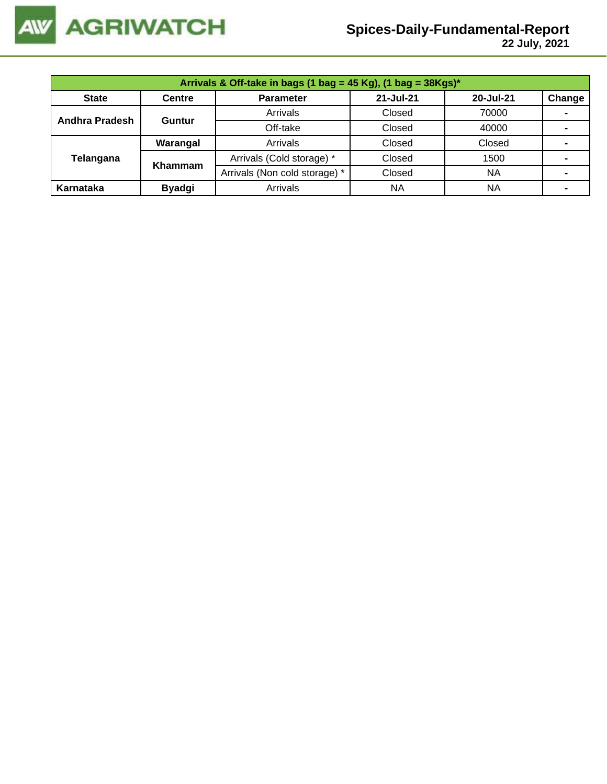

 **22 July, 2021**

| Arrivals & Off-take in bags (1 bag = 45 Kg), (1 bag = $38Kgs$ )* |               |                               |           |           |        |  |  |  |
|------------------------------------------------------------------|---------------|-------------------------------|-----------|-----------|--------|--|--|--|
| <b>State</b>                                                     | <b>Centre</b> | <b>Parameter</b>              | 21-Jul-21 | 20-Jul-21 | Change |  |  |  |
| <b>Andhra Pradesh</b>                                            | Guntur        | Arrivals                      | Closed    | 70000     |        |  |  |  |
|                                                                  |               | Off-take                      | Closed    | 40000     |        |  |  |  |
|                                                                  | Warangal      | Arrivals                      | Closed    | Closed    |        |  |  |  |
| Telangana                                                        | Khammam       | Arrivals (Cold storage) *     | Closed    | 1500      |        |  |  |  |
|                                                                  |               | Arrivals (Non cold storage) * | Closed    | <b>NA</b> |        |  |  |  |
| Karnataka                                                        | <b>Byadgi</b> | Arrivals                      | <b>NA</b> | ΝA        |        |  |  |  |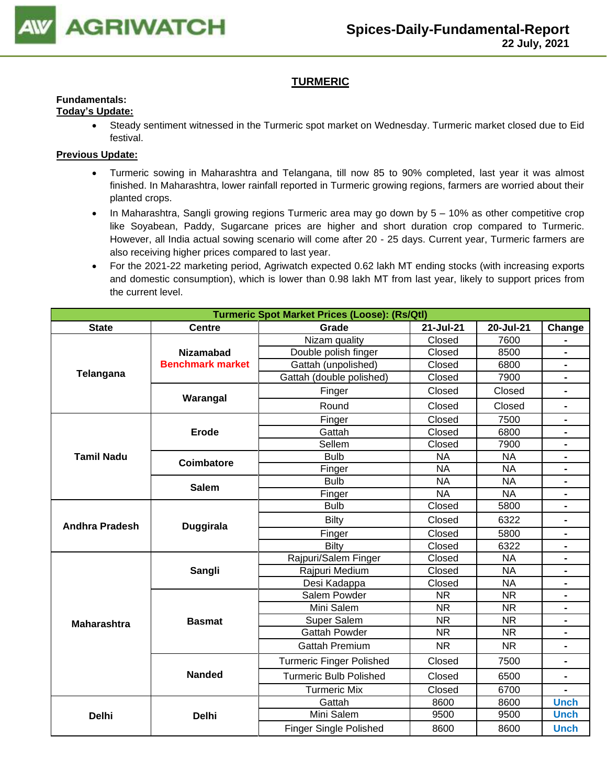

# **TURMERIC**

#### **Fundamentals: Today's Update:**

• Steady sentiment witnessed in the Turmeric spot market on Wednesday. Turmeric market closed due to Eid festival.

- Turmeric sowing in Maharashtra and Telangana, till now 85 to 90% completed, last year it was almost finished. In Maharashtra, lower rainfall reported in Turmeric growing regions, farmers are worried about their planted crops.
- In Maharashtra, Sangli growing regions Turmeric area may go down by 5 10% as other competitive crop like Soyabean, Paddy, Sugarcane prices are higher and short duration crop compared to Turmeric. However, all India actual sowing scenario will come after 20 - 25 days. Current year, Turmeric farmers are also receiving higher prices compared to last year.
- For the 2021-22 marketing period, Agriwatch expected 0.62 lakh MT ending stocks (with increasing exports and domestic consumption), which is lower than 0.98 lakh MT from last year, likely to support prices from the current level.

|                       |                         | <b>Turmeric Spot Market Prices (Loose): (Rs/Qtl)</b> |                        |                        |                              |
|-----------------------|-------------------------|------------------------------------------------------|------------------------|------------------------|------------------------------|
| <b>State</b>          | <b>Centre</b>           | Grade                                                | 21-Jul-21<br>20-Jul-21 |                        | Change                       |
|                       |                         | Nizam quality                                        | Closed                 | 7600                   |                              |
|                       | <b>Nizamabad</b>        | Double polish finger                                 | Closed                 | 8500                   |                              |
| Telangana             | <b>Benchmark market</b> | Gattah (unpolished)                                  | Closed                 | 6800                   | $\blacksquare$               |
|                       |                         | Gattah (double polished)                             | Closed                 | 7900                   | $\blacksquare$               |
|                       | Warangal                | Finger                                               | Closed                 | Closed                 | $\blacksquare$               |
|                       |                         | Round                                                | Closed                 | Closed                 | $\blacksquare$               |
|                       |                         | Finger                                               | Closed                 | 7500                   | $\blacksquare$               |
|                       | <b>Erode</b>            | Gattah                                               | Closed                 | 6800                   |                              |
|                       |                         | Sellem                                               | Closed                 | 7900                   |                              |
| <b>Tamil Nadu</b>     | <b>Coimbatore</b>       | <b>Bulb</b>                                          | <b>NA</b>              | <b>NA</b>              | $\blacksquare$               |
|                       |                         | Finger                                               | <b>NA</b>              | <b>NA</b>              | $\blacksquare$               |
|                       | <b>Salem</b>            | <b>Bulb</b>                                          | <b>NA</b>              | <b>NA</b>              |                              |
|                       |                         | Finger                                               | <b>NA</b>              | <b>NA</b>              | $\blacksquare$               |
|                       |                         | <b>Bulb</b>                                          | Closed                 | 5800                   | $\blacksquare$               |
| <b>Andhra Pradesh</b> | <b>Duggirala</b>        | <b>Bilty</b>                                         | Closed                 | 6322                   | $\blacksquare$               |
|                       |                         | Finger                                               | Closed                 | 5800                   |                              |
|                       |                         | Bilty                                                | Closed                 | 6322                   | $\blacksquare$               |
|                       |                         | Rajpuri/Salem Finger                                 | Closed                 | <b>NA</b>              | $\blacksquare$               |
|                       | Sangli                  | Rajpuri Medium                                       | Closed                 | <b>NA</b>              | $\blacksquare$               |
|                       |                         | Desi Kadappa                                         | Closed                 | <b>NA</b>              | $\blacksquare$               |
|                       |                         | Salem Powder                                         | $\overline{\text{NR}}$ | $\overline{\text{NR}}$ | $\blacksquare$               |
|                       |                         | Mini Salem                                           | <b>NR</b>              | <b>NR</b>              |                              |
| <b>Maharashtra</b>    | <b>Basmat</b>           | Super Salem                                          | <b>NR</b>              | <b>NR</b>              | $\blacksquare$               |
|                       |                         | <b>Gattah Powder</b>                                 | <b>NR</b>              | <b>NR</b>              | $\blacksquare$               |
|                       |                         | <b>Gattah Premium</b>                                | <b>NR</b>              | <b>NR</b>              | $\blacksquare$               |
|                       |                         | <b>Turmeric Finger Polished</b>                      | Closed                 | 7500                   | $\qquad \qquad \blacksquare$ |
|                       | <b>Nanded</b>           | <b>Turmeric Bulb Polished</b>                        | Closed                 | 6500                   | $\blacksquare$               |
|                       |                         | <b>Turmeric Mix</b>                                  | Closed                 | 6700                   | $\blacksquare$               |
|                       |                         | Gattah                                               | 8600                   | 8600                   | <b>Unch</b>                  |
| <b>Delhi</b>          | <b>Delhi</b>            | Mini Salem                                           | 9500                   | 9500                   | <b>Unch</b>                  |
|                       |                         | <b>Finger Single Polished</b>                        | 8600                   | 8600                   | <b>Unch</b>                  |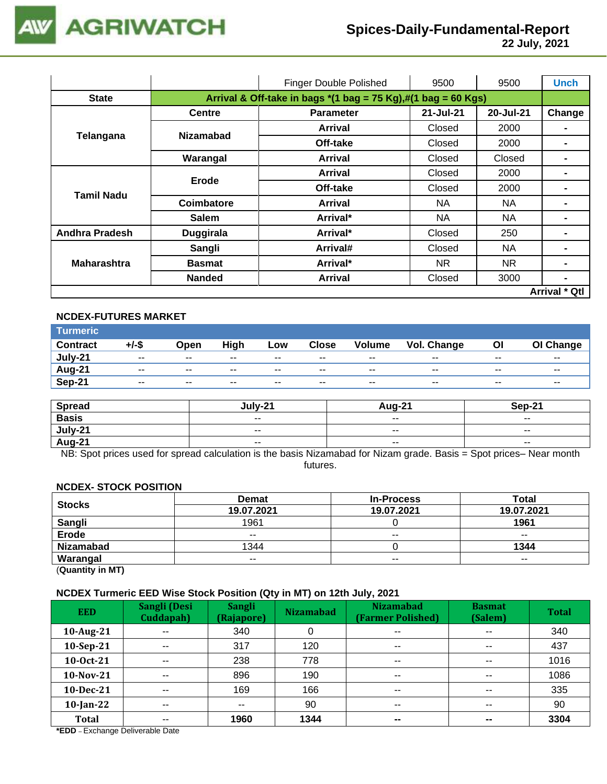

 **22 July, 2021**

|                       |                                                                                                 | <b>Finger Double Polished</b> | 9500      | 9500      | <b>Unch</b>          |  |
|-----------------------|-------------------------------------------------------------------------------------------------|-------------------------------|-----------|-----------|----------------------|--|
| <b>State</b>          | Arrival & Off-take in bags $*(1 \text{ bag} = 75 \text{ Kg}),\#(1 \text{ bag} = 60 \text{ Kg})$ |                               |           |           |                      |  |
|                       | <b>Centre</b>                                                                                   | <b>Parameter</b>              | 21-Jul-21 | 20-Jul-21 | Change               |  |
|                       | <b>Nizamabad</b>                                                                                | Arrival                       | Closed    | 2000      |                      |  |
| Telangana             |                                                                                                 | Off-take                      | Closed    | 2000      |                      |  |
|                       | Warangal                                                                                        | Arrival                       | Closed    | Closed    |                      |  |
|                       | Erode                                                                                           | Arrival                       | Closed    | 2000      |                      |  |
| <b>Tamil Nadu</b>     |                                                                                                 | Off-take                      | Closed    | 2000      |                      |  |
|                       | Coimbatore                                                                                      | Arrival                       | NA.       | NA.       |                      |  |
|                       | <b>Salem</b>                                                                                    | Arrival*                      | NA.       | <b>NA</b> |                      |  |
| <b>Andhra Pradesh</b> | <b>Duggirala</b>                                                                                | Arrival*                      | Closed    | 250       |                      |  |
|                       | Sangli                                                                                          | Arrival#                      | Closed    | NA.       |                      |  |
| <b>Maharashtra</b>    | <b>Basmat</b>                                                                                   | Arrival*                      | NR.       | NR.       |                      |  |
|                       | <b>Nanded</b>                                                                                   | Arrival                       | Closed    | 3000      | $\blacksquare$       |  |
|                       |                                                                                                 |                               |           |           | <b>Arrival * Qtl</b> |  |

#### **NCDEX-FUTURES MARKET**

| <b>Turmeric</b> |                          |       |       |        |              |               |             |       |               |
|-----------------|--------------------------|-------|-------|--------|--------------|---------------|-------------|-------|---------------|
| <b>Contract</b> | +/-\$                    | Open  | High  | Low    | <b>Close</b> | <b>Volume</b> | Vol. Change | ΟI    | OI Change     |
| July-21         | $\overline{\phantom{a}}$ | $- -$ | $- -$ | $- -$  | $- -$        | $- -$         | $- -$       | $- -$ | $- -$         |
| <b>Aug-21</b>   | $- -$                    | $- -$ | $- -$ | $\sim$ | $- -$        | $- -$         | $- -$       | $- -$ | $\sim$ $\sim$ |
| Sep-21          | $\sim$ $\sim$            | $- -$ | $- -$ | $\sim$ | $- -$        | $\sim$ $\sim$ | $- -$       | --    | --            |

| <b>Spread</b> | July-21       | <b>Aug-21</b>            | <b>Sep-21</b>            |
|---------------|---------------|--------------------------|--------------------------|
| <b>Basis</b>  | $- -$         | $- -$                    | $- -$                    |
| July-21       | $\sim$ $\sim$ | $\overline{\phantom{m}}$ | $\overline{\phantom{a}}$ |
| Aug-21        | $- -$         | $\sim$ $\sim$            | $\overline{\phantom{a}}$ |

NB: Spot prices used for spread calculation is the basis Nizamabad for Nizam grade. Basis = Spot prices– Near month futures.

#### **NCDEX- STOCK POSITION**

| <b>Stocks</b>    | <b>Demat</b> | <b>In-Process</b> | Total      |
|------------------|--------------|-------------------|------------|
|                  | 19.07.2021   | 19.07.2021        | 19.07.2021 |
| Sangli           | 1961         |                   | 1961       |
| Erode            | $- -$        | $- -$             | $- -$      |
| <b>Nizamabad</b> | 1344         |                   | 1344       |
| Warangal         | $- -$        | $- -$             | $- -$      |

(**Quantity in MT)**

#### **NCDEX Turmeric EED Wise Stock Position (Qty in MT) on 12th July, 2021**

| <b>EED</b>   | Sangli (Desi<br>Cuddapah) | <b>Sangli</b><br>(Rajapore) | <b>Nizamabad</b> | <b>Nizamabad</b><br>(Farmer Polished) | <b>Basmat</b><br>(Salem) | <b>Total</b> |
|--------------|---------------------------|-----------------------------|------------------|---------------------------------------|--------------------------|--------------|
| 10-Aug-21    | $-$                       | 340                         | 0                | $\overline{\phantom{a}}$              | $\overline{\phantom{a}}$ | 340          |
| 10-Sep-21    | $- -$                     | 317                         | 120              | $\sim$ $\sim$                         | $\sim$ $\sim$            | 437          |
| 10-Oct-21    | $\sim$ $\sim$             | 238                         | 778              | $\overline{\phantom{a}}$              | $\sim$ $\sim$            | 1016         |
| $10$ -Nov-21 | $-$                       | 896                         | 190              | $\sim$ $\sim$                         | $- -$                    | 1086         |
| $10$ -Dec-21 | $\sim$ $\sim$             | 169                         | 166              | $\overline{\phantom{a}}$              | $- -$                    | 335          |
| $10$ -Jan-22 | $- -$                     | $- -$                       | 90               | $\sim$ $\sim$                         | $\sim$ $\sim$            | 90           |
| <b>Total</b> | $- -$                     | 1960                        | 1344             | $\sim$                                | $\sim$                   | 3304         |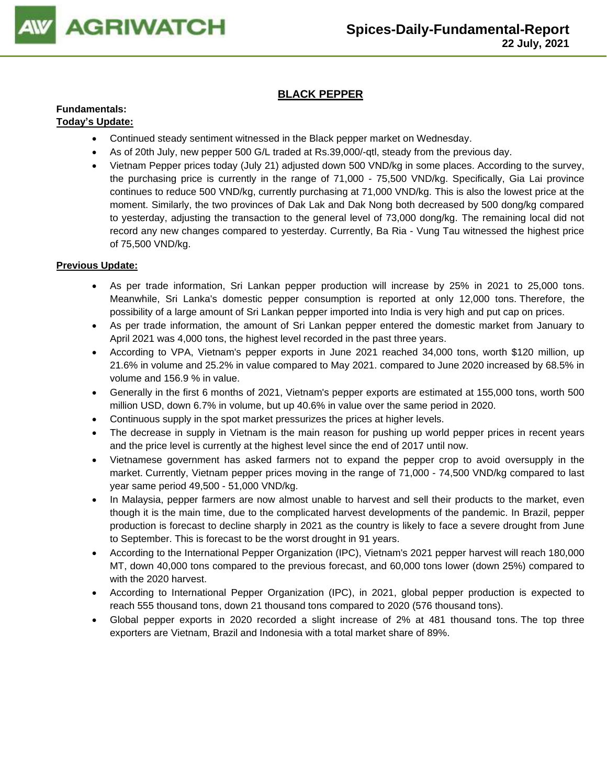

# **BLACK PEPPER**

#### **Fundamentals: Today's Update:**

- Continued steady sentiment witnessed in the Black pepper market on Wednesday.
- As of 20th July, new pepper 500 G/L traded at Rs.39,000/-qtl, steady from the previous day.
- Vietnam Pepper prices today (July 21) adjusted down 500 VND/kg in some places. According to the survey, the purchasing price is currently in the range of 71,000 - 75,500 VND/kg. Specifically, Gia Lai province continues to reduce 500 VND/kg, currently purchasing at 71,000 VND/kg. This is also the lowest price at the moment. Similarly, the two provinces of Dak Lak and Dak Nong both decreased by 500 dong/kg compared to yesterday, adjusting the transaction to the general level of 73,000 dong/kg. The remaining local did not record any new changes compared to yesterday. Currently, Ba Ria - Vung Tau witnessed the highest price of 75,500 VND/kg.

- As per trade information, Sri Lankan pepper production will increase by 25% in 2021 to 25,000 tons. Meanwhile, Sri Lanka's domestic pepper consumption is reported at only 12,000 tons. Therefore, the possibility of a large amount of Sri Lankan pepper imported into India is very high and put cap on prices.
- As per trade information, the amount of Sri Lankan pepper entered the domestic market from January to April 2021 was 4,000 tons, the highest level recorded in the past three years.
- According to VPA, Vietnam's pepper exports in June 2021 reached 34,000 tons, worth \$120 million, up 21.6% in volume and 25.2% in value compared to May 2021. compared to June 2020 increased by 68.5% in volume and 156.9 % in value.
- Generally in the first 6 months of 2021, Vietnam's pepper exports are estimated at 155,000 tons, worth 500 million USD, down 6.7% in volume, but up 40.6% in value over the same period in 2020.
- Continuous supply in the spot market pressurizes the prices at higher levels.
- The decrease in supply in Vietnam is the main reason for pushing up world pepper prices in recent years and the price level is currently at the highest level since the end of 2017 until now.
- Vietnamese government has asked farmers not to expand the pepper crop to avoid oversupply in the market. Currently, Vietnam pepper prices moving in the range of 71,000 - 74,500 VND/kg compared to last year same period 49,500 - 51,000 VND/kg.
- In Malaysia, pepper farmers are now almost unable to harvest and sell their products to the market, even though it is the main time, due to the complicated harvest developments of the pandemic. In Brazil, pepper production is forecast to decline sharply in 2021 as the country is likely to face a severe drought from June to September. This is forecast to be the worst drought in 91 years.
- According to the International Pepper Organization (IPC), Vietnam's 2021 pepper harvest will reach 180,000 MT, down 40,000 tons compared to the previous forecast, and 60,000 tons lower (down 25%) compared to with the 2020 harvest.
- According to International Pepper Organization (IPC), in 2021, global pepper production is expected to reach 555 thousand tons, down 21 thousand tons compared to 2020 (576 thousand tons).
- Global pepper exports in 2020 recorded a slight increase of 2% at 481 thousand tons. The top three exporters are Vietnam, Brazil and Indonesia with a total market share of 89%.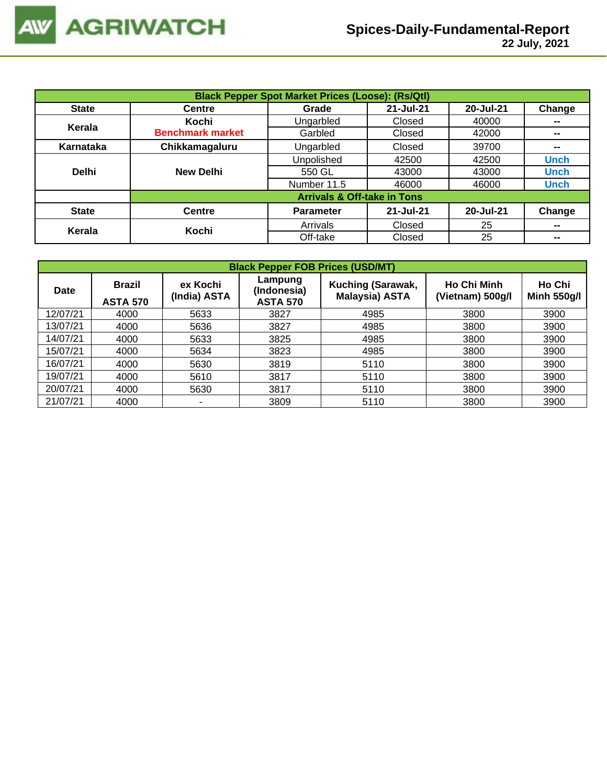|              | <b>Black Pepper Spot Market Prices (Loose): (Rs/Qtl)</b> |                                        |           |           |             |  |  |  |  |
|--------------|----------------------------------------------------------|----------------------------------------|-----------|-----------|-------------|--|--|--|--|
| <b>State</b> | <b>Centre</b>                                            | Grade                                  | 21-Jul-21 | 20-Jul-21 | Change      |  |  |  |  |
| Kerala       | Kochi                                                    | Ungarbled                              | Closed    | 40000     | --          |  |  |  |  |
|              | <b>Benchmark market</b>                                  | Garbled                                | Closed    | 42000     | --          |  |  |  |  |
| Karnataka    | Chikkamagaluru                                           | Ungarbled                              | Closed    | 39700     | --          |  |  |  |  |
|              |                                                          | Unpolished                             | 42500     | 42500     | <b>Unch</b> |  |  |  |  |
| <b>Delhi</b> | <b>New Delhi</b>                                         | 550 GL                                 | 43000     | 43000     | <b>Unch</b> |  |  |  |  |
|              |                                                          | Number 11.5                            | 46000     | 46000     | <b>Unch</b> |  |  |  |  |
|              |                                                          | <b>Arrivals &amp; Off-take in Tons</b> |           |           |             |  |  |  |  |
| <b>State</b> | <b>Centre</b>                                            | <b>Parameter</b>                       | 21-Jul-21 | 20-Jul-21 | Change      |  |  |  |  |
| Kerala       | Kochi                                                    | Arrivals                               | Closed    | 25        | --          |  |  |  |  |
|              |                                                          | Off-take                               | Closed    | 25        | --          |  |  |  |  |

|             | <b>Black Pepper FOB Prices (USD/MT)</b> |                          |                                           |                                            |                                        |                              |  |  |  |  |
|-------------|-----------------------------------------|--------------------------|-------------------------------------------|--------------------------------------------|----------------------------------------|------------------------------|--|--|--|--|
| <b>Date</b> | Brazil<br><b>ASTA 570</b>               | ex Kochi<br>(India) ASTA | Lampung<br>(Indonesia)<br><b>ASTA 570</b> | Kuching (Sarawak,<br><b>Malaysia) ASTA</b> | <b>Ho Chi Minh</b><br>(Vietnam) 500g/l | Ho Chi<br><b>Minh 550g/l</b> |  |  |  |  |
| 12/07/21    | 4000                                    | 5633                     | 3827                                      | 4985                                       | 3800                                   | 3900                         |  |  |  |  |
| 13/07/21    | 4000                                    | 5636                     | 3827                                      | 4985                                       | 3800                                   | 3900                         |  |  |  |  |
| 14/07/21    | 4000                                    | 5633                     | 3825                                      | 4985                                       | 3800                                   | 3900                         |  |  |  |  |
| 15/07/21    | 4000                                    | 5634                     | 3823                                      | 4985                                       | 3800                                   | 3900                         |  |  |  |  |
| 16/07/21    | 4000                                    | 5630                     | 3819                                      | 5110                                       | 3800                                   | 3900                         |  |  |  |  |
| 19/07/21    | 4000                                    | 5610                     | 3817                                      | 5110                                       | 3800                                   | 3900                         |  |  |  |  |
| 20/07/21    | 4000                                    | 5630                     | 3817                                      | 5110                                       | 3800                                   | 3900                         |  |  |  |  |
| 21/07/21    | 4000                                    |                          | 3809                                      | 5110                                       | 3800                                   | 3900                         |  |  |  |  |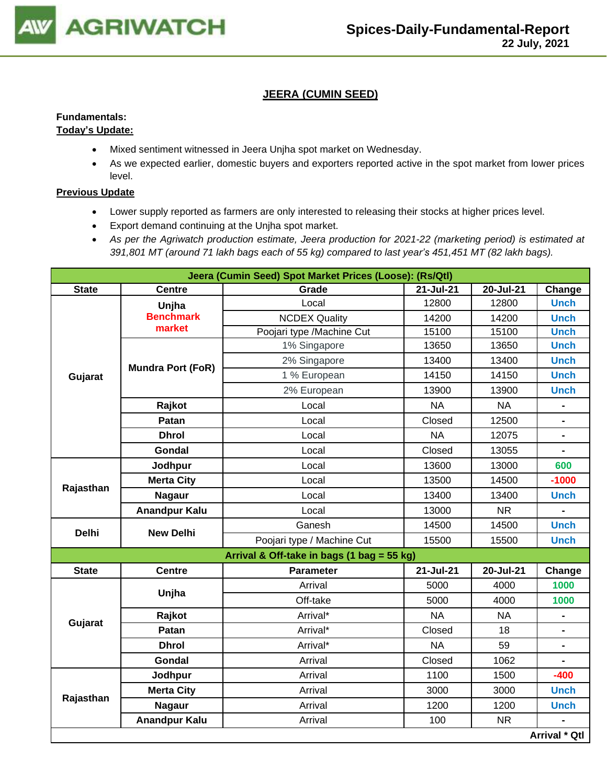

# **JEERA (CUMIN SEED)**

# **Fundamentals:**

# **Today's Update:**

- Mixed sentiment witnessed in Jeera Unjha spot market on Wednesday.
- As we expected earlier, domestic buyers and exporters reported active in the spot market from lower prices level.

- Lower supply reported as farmers are only interested to releasing their stocks at higher prices level.
- Export demand continuing at the Unjha spot market.
- *As per the Agriwatch production estimate, Jeera production for 2021-22 (marketing period) is estimated at 391,801 MT (around 71 lakh bags each of 55 kg) compared to last year's 451,451 MT (82 lakh bags).*

|              |                          | Jeera (Cumin Seed) Spot Market Prices (Loose): (Rs/Qtl) |           |           |                |
|--------------|--------------------------|---------------------------------------------------------|-----------|-----------|----------------|
| <b>State</b> | <b>Centre</b>            | Grade                                                   | 21-Jul-21 | 20-Jul-21 | Change         |
| Gujarat      | Unjha                    | Local                                                   | 12800     | 12800     | <b>Unch</b>    |
|              | <b>Benchmark</b>         | <b>NCDEX Quality</b>                                    | 14200     | 14200     | <b>Unch</b>    |
|              | market                   | Poojari type /Machine Cut                               | 15100     | 15100     | <b>Unch</b>    |
|              |                          | 1% Singapore                                            | 13650     | 13650     | <b>Unch</b>    |
|              | <b>Mundra Port (FoR)</b> | 2% Singapore                                            | 13400     | 13400     | <b>Unch</b>    |
|              |                          | 1 % European                                            | 14150     | 14150     | <b>Unch</b>    |
|              |                          | 2% European                                             | 13900     | 13900     | <b>Unch</b>    |
|              | Rajkot                   | Local                                                   | <b>NA</b> | <b>NA</b> |                |
|              | Patan                    | Local                                                   | Closed    | 12500     | $\blacksquare$ |
|              | <b>Dhrol</b>             | Local                                                   | <b>NA</b> | 12075     | $\blacksquare$ |
|              | Gondal                   | Local                                                   | Closed    | 13055     |                |
|              | Jodhpur                  | Local                                                   | 13600     | 13000     | 600            |
| Rajasthan    | <b>Merta City</b>        | Local                                                   | 13500     | 14500     | $-1000$        |
|              | <b>Nagaur</b>            | Local                                                   | 13400     | 13400     | <b>Unch</b>    |
|              | <b>Anandpur Kalu</b>     | Local                                                   | 13000     | <b>NR</b> | $\blacksquare$ |
|              |                          | Ganesh                                                  | 14500     | 14500     | <b>Unch</b>    |
| <b>Delhi</b> | <b>New Delhi</b>         | Poojari type / Machine Cut                              | 15500     | 15500     | <b>Unch</b>    |
|              |                          | Arrival & Off-take in bags (1 bag = 55 kg)              |           |           |                |
| <b>State</b> | <b>Centre</b>            | <b>Parameter</b>                                        | 21-Jul-21 | 20-Jul-21 | Change         |
|              |                          | Arrival                                                 | 5000      | 4000      | 1000           |
|              | Unjha                    | Off-take                                                | 5000      | 4000      | 1000           |
|              | Rajkot                   | Arrival*                                                | <b>NA</b> | <b>NA</b> |                |
| Gujarat      | Patan                    | Arrival*                                                | Closed    | 18        |                |
|              | <b>Dhrol</b>             | Arrival*                                                | <b>NA</b> | 59        | $\blacksquare$ |
|              | Gondal                   | Arrival                                                 | Closed    | 1062      |                |
|              | Jodhpur                  | Arrival                                                 | 1100      | 1500      | $-400$         |
|              | <b>Merta City</b>        | Arrival                                                 | 3000      | 3000      | <b>Unch</b>    |
| Rajasthan    | <b>Nagaur</b>            | Arrival                                                 | 1200      | 1200      | <b>Unch</b>    |
|              | <b>Anandpur Kalu</b>     | Arrival                                                 | 100       | <b>NR</b> |                |
|              |                          |                                                         |           |           | Arrival * Qtl  |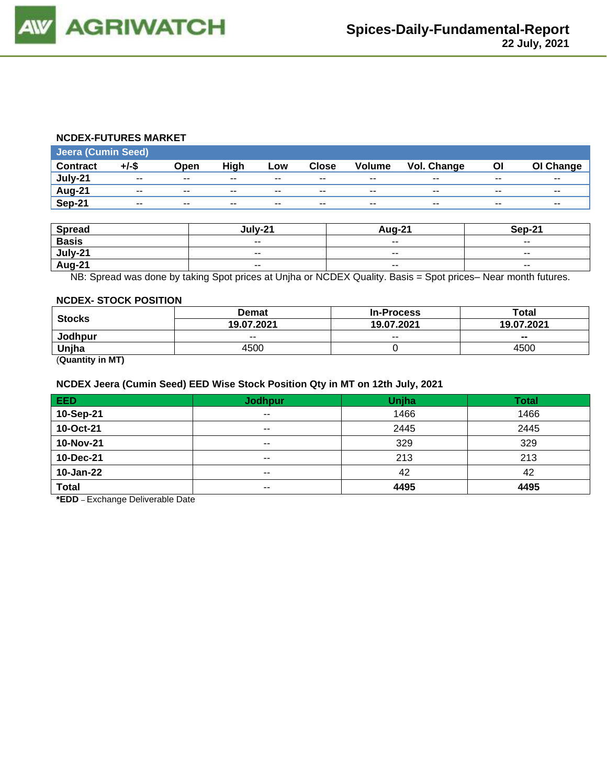#### **NCDEX-FUTURES MARKET**

| <b>Jeera (Cumin Seed)</b> |          |       |             |                          |              |               |                    |       |           |
|---------------------------|----------|-------|-------------|--------------------------|--------------|---------------|--------------------|-------|-----------|
| <b>Contract</b>           | $+/-$ \$ | Open  | <b>High</b> | Low                      | <b>Close</b> | <b>Volume</b> | <b>Vol. Change</b> | ΟI    | OI Change |
| July-21                   | $- -$    | $- -$ | $- -$       | $-$                      | $- -$        | $- -$         | $- -$              | --    | $- -$     |
| Aug-21                    | --       | $- -$ | $- -$       | $\overline{\phantom{a}}$ | $- -$        | $- -$         | $- -$              | $- -$ | --        |
| Sep-21                    | $- -$    | $- -$ | $- -$       | $- -$                    | $- -$        | $- -$         | $- -$              | $- -$ | $- -$     |

| <b>Spread</b> | lulv-21                  | <b>Aug-21</b>            | Sep-21                   |
|---------------|--------------------------|--------------------------|--------------------------|
| <b>Basis</b>  | $\overline{\phantom{a}}$ | $\sim$ $\sim$            | $\overline{\phantom{a}}$ |
| July-21       | $\overline{\phantom{a}}$ | $\overline{\phantom{a}}$ | $\sim$ $\sim$            |
| <b>Aug-21</b> | $\sim$ $\sim$            | $\sim$ $\sim$            | $- -$                    |

NB: Spread was done by taking Spot prices at Unjha or NCDEX Quality. Basis = Spot prices– Near month futures.

#### **NCDEX- STOCK POSITION**

|                      | <b>Demat</b> | <b>In-Process</b> | Total          |  |
|----------------------|--------------|-------------------|----------------|--|
| <b>Stocks</b>        | 19.07.2021   | 19.07.2021        | 19.07.2021     |  |
| <b>Jodhpur</b>       | $- -$        | $- -$             | $\blacksquare$ |  |
| Uniha                | 4500         |                   | 4500           |  |
| $\sim$ $\sim$ $\sim$ |              |                   |                |  |

(**Quantity in MT)**

#### **NCDEX Jeera (Cumin Seed) EED Wise Stock Position Qty in MT on 12th July, 2021**

| EED          | <b>Jodhpur</b> | Unjha | <b>Total</b> |
|--------------|----------------|-------|--------------|
| 10-Sep-21    | $- -$          | 1466  | 1466         |
| 10-Oct-21    | $- -$          | 2445  | 2445         |
| 10-Nov-21    | $- -$          | 329   | 329          |
| 10-Dec-21    | $- -$          | 213   | 213          |
| 10-Jan-22    | $- -$          | 42    | 42           |
| <b>Total</b> | $- -$          | 4495  | 4495         |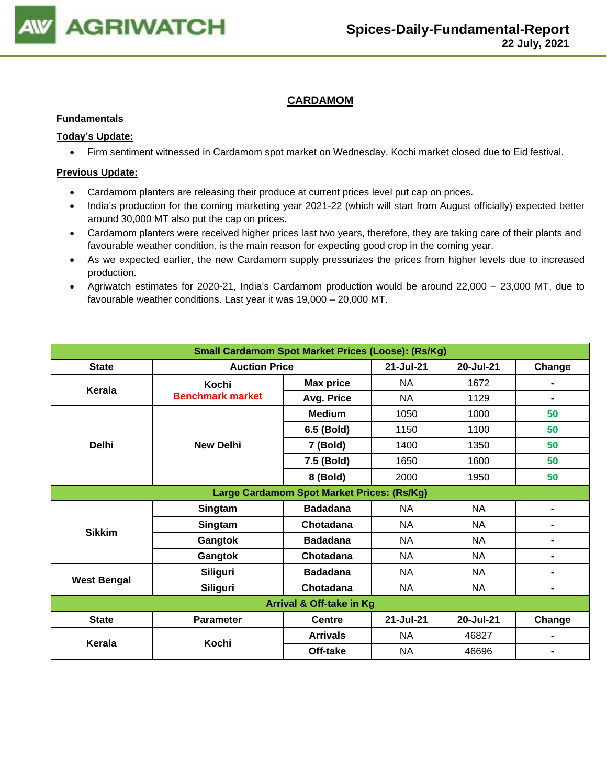

# **CARDAMOM**

#### **Fundamentals**

### **Today's Update:**

• Firm sentiment witnessed in Cardamom spot market on Wednesday. Kochi market closed due to Eid festival.

- Cardamom planters are releasing their produce at current prices level put cap on prices.
- India's production for the coming marketing year 2021-22 (which will start from August officially) expected better around 30,000 MT also put the cap on prices.
- Cardamom planters were received higher prices last two years, therefore, they are taking care of their plants and favourable weather condition, is the main reason for expecting good crop in the coming year.
- As we expected earlier, the new Cardamom supply pressurizes the prices from higher levels due to increased production.
- Agriwatch estimates for 2020-21, India's Cardamom production would be around 22,000 23,000 MT, due to favourable weather conditions. Last year it was 19,000 – 20,000 MT.

| <b>Small Cardamom Spot Market Prices (Loose): (Rs/Kg)</b> |                         |                                            |           |           |                |  |  |
|-----------------------------------------------------------|-------------------------|--------------------------------------------|-----------|-----------|----------------|--|--|
| <b>State</b>                                              | <b>Auction Price</b>    |                                            | 21-Jul-21 | 20-Jul-21 | Change         |  |  |
| Kerala                                                    | <b>Kochi</b>            | <b>Max price</b>                           | <b>NA</b> | 1672      |                |  |  |
|                                                           | <b>Benchmark market</b> | Avg. Price                                 | <b>NA</b> | 1129      | $\blacksquare$ |  |  |
|                                                           |                         | <b>Medium</b>                              | 1050      | 1000      | 50             |  |  |
|                                                           |                         | 6.5 (Bold)                                 | 1150      | 1100      | 50             |  |  |
| <b>Delhi</b>                                              | <b>New Delhi</b>        | 7 (Bold)                                   | 1400      | 1350      | 50             |  |  |
|                                                           |                         | 7.5 (Bold)                                 | 1650      | 1600      | 50             |  |  |
|                                                           |                         | 8 (Bold)                                   | 2000      | 1950      | 50             |  |  |
|                                                           |                         | Large Cardamom Spot Market Prices: (Rs/Kg) |           |           |                |  |  |
|                                                           | Singtam                 | <b>Badadana</b>                            | <b>NA</b> | <b>NA</b> | $\blacksquare$ |  |  |
| <b>Sikkim</b>                                             | Singtam                 | <b>Chotadana</b>                           | <b>NA</b> | <b>NA</b> | $\blacksquare$ |  |  |
|                                                           | Gangtok                 | <b>Badadana</b>                            | <b>NA</b> | <b>NA</b> | $\blacksquare$ |  |  |
|                                                           | Gangtok                 | Chotadana                                  | NA        | NA        | $\blacksquare$ |  |  |
|                                                           | <b>Siliguri</b>         | <b>Badadana</b>                            | <b>NA</b> | <b>NA</b> | -              |  |  |
| <b>West Bengal</b>                                        | Siliguri                | Chotadana                                  | <b>NA</b> | <b>NA</b> | $\blacksquare$ |  |  |
| Arrival & Off-take in Kg                                  |                         |                                            |           |           |                |  |  |
| <b>State</b>                                              | <b>Parameter</b>        | <b>Centre</b>                              | 21-Jul-21 | 20-Jul-21 | Change         |  |  |
| Kerala                                                    | Kochi                   | <b>Arrivals</b>                            | <b>NA</b> | 46827     | $\blacksquare$ |  |  |
|                                                           |                         | Off-take                                   | NA.       | 46696     | $\blacksquare$ |  |  |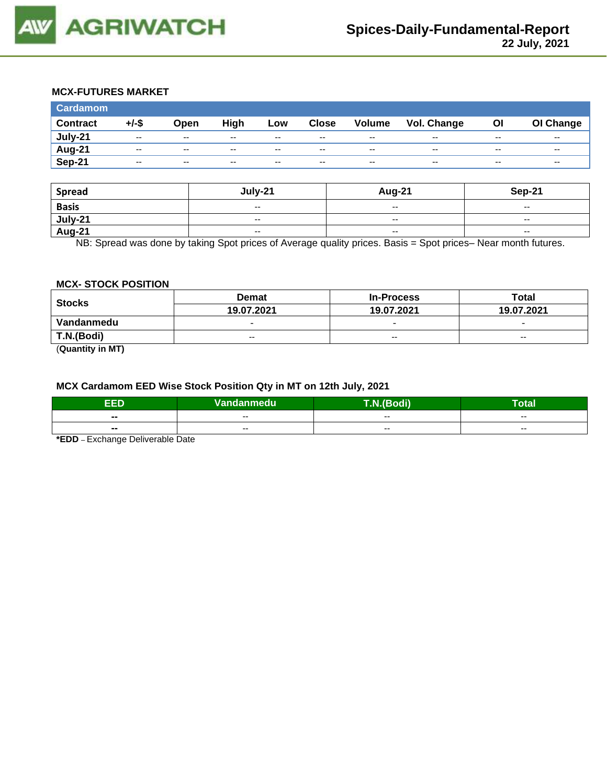

### **MCX-FUTURES MARKET**

| <b>Cardamom</b> |          |       |       |       |              |                          |             |           |                          |
|-----------------|----------|-------|-------|-------|--------------|--------------------------|-------------|-----------|--------------------------|
| <b>Contract</b> | $+/-$ \$ | Open  | High  | Low   | <b>Close</b> | <b>Volume</b>            | Vol. Change | <b>OI</b> | OI Change                |
| July-21         | $-$      | $- -$ | $- -$ | $- -$ | $- -$        | $- -$                    | $- -$       | $- -$     | $- -$                    |
| Aug-21          | $-$      | $-$   | $- -$ | $-$   | $-$          | $\overline{\phantom{a}}$ | $- -$       | $- -$     | $\overline{\phantom{a}}$ |
| Sep-21          | $-$      | $- -$ | $-$   | $-$   | $-$          | $\overline{\phantom{a}}$ | $- -$       | $- -$     | $\sim$ $\sim$            |

| <b>Spread</b>     | July-21                                        | <b>Aug-21</b>            | Sep-21                   |
|-------------------|------------------------------------------------|--------------------------|--------------------------|
| <b>Basis</b>      | $\overline{\phantom{a}}$                       | $\overline{\phantom{a}}$ | $- -$                    |
| July-21<br>Aug-21 | $\overline{\phantom{a}}$                       | $-$                      | $\overline{\phantom{a}}$ |
|                   | $\hspace{0.1mm}-\hspace{0.1mm}-\hspace{0.1mm}$ | $\overline{\phantom{a}}$ | $\overline{\phantom{a}}$ |

NB: Spread was done by taking Spot prices of Average quality prices. Basis = Spot prices– Near month futures.

#### **MCX- STOCK POSITION**

| <b>Stocks</b>                     | <b>Demat</b>             | <b>In-Process</b>        | Total                    |  |
|-----------------------------------|--------------------------|--------------------------|--------------------------|--|
|                                   | 19.07.2021               | 19.07.2021               | 19.07.2021               |  |
| Vandanmedu                        | $\overline{\phantom{0}}$ | $\overline{\phantom{0}}$ | $\overline{\phantom{0}}$ |  |
| T.N.(Bodi)                        | $-$                      | $- -$                    | $- -$                    |  |
| $\overline{\phantom{a}}$<br>----- |                          |                          |                          |  |

(**Quantity in MT)**

### **MCX Cardamom EED Wise Stock Position Qty in MT on 12th July, 2021**

| EED   | Vandanmedu | $\overline{ }$<br>- 40<br>воон | . .<br>Гоtal |
|-------|------------|--------------------------------|--------------|
| $- -$ | $- -$      | $- -$                          | $- -$        |
| $- -$ | $- -$      | $- -$                          | $- -$        |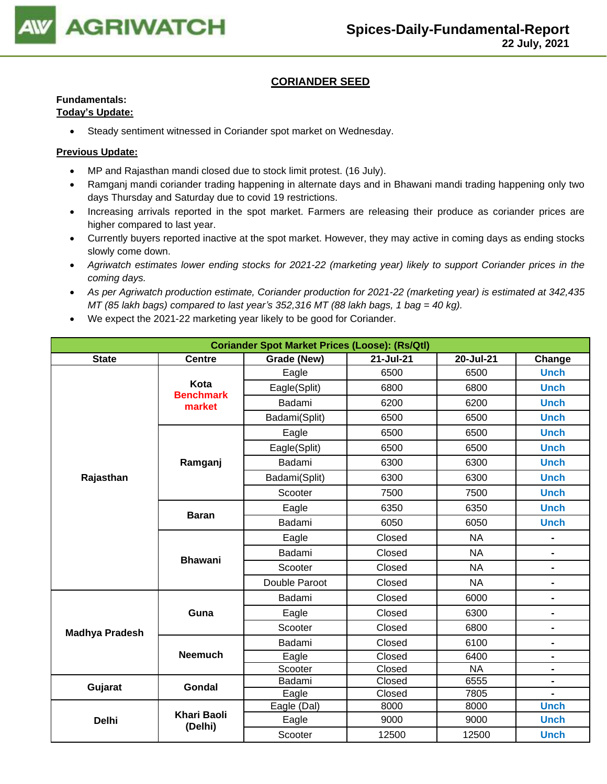

### **CORIANDER SEED**

# **Fundamentals:**

### **Today's Update:**

• Steady sentiment witnessed in Coriander spot market on Wednesday.

- MP and Rajasthan mandi closed due to stock limit protest. (16 July).
- Ramganj mandi coriander trading happening in alternate days and in Bhawani mandi trading happening only two days Thursday and Saturday due to covid 19 restrictions.
- Increasing arrivals reported in the spot market. Farmers are releasing their produce as coriander prices are higher compared to last year.
- Currently buyers reported inactive at the spot market. However, they may active in coming days as ending stocks slowly come down.
- *Agriwatch estimates lower ending stocks for 2021-22 (marketing year) likely to support Coriander prices in the coming days.*
- *As per Agriwatch production estimate, Coriander production for 2021-22 (marketing year) is estimated at 342,435 MT (85 lakh bags) compared to last year's 352,316 MT (88 lakh bags, 1 bag = 40 kg).*
- We expect the 2021-22 marketing year likely to be good for Coriander.

| <b>Coriander Spot Market Prices (Loose): (Rs/Qtl)</b> |                               |                                                                   |        |           |                              |  |  |
|-------------------------------------------------------|-------------------------------|-------------------------------------------------------------------|--------|-----------|------------------------------|--|--|
| <b>State</b>                                          | <b>Centre</b>                 | $\overline{21}$ -Jul-21<br>$20 -$ Jul-21<br>Grade (New)<br>Change |        |           |                              |  |  |
|                                                       |                               | Eagle                                                             | 6500   | 6500      | <b>Unch</b>                  |  |  |
|                                                       | Kota<br><b>Benchmark</b>      | Eagle(Split)                                                      | 6800   | 6800      | <b>Unch</b>                  |  |  |
|                                                       | market                        | Badami                                                            | 6200   | 6200      | <b>Unch</b>                  |  |  |
|                                                       |                               | Badami(Split)                                                     | 6500   | 6500      | <b>Unch</b>                  |  |  |
|                                                       |                               | Eagle                                                             | 6500   | 6500      | <b>Unch</b>                  |  |  |
|                                                       |                               | Eagle(Split)                                                      | 6500   | 6500      | <b>Unch</b>                  |  |  |
|                                                       | Ramganj                       | Badami                                                            | 6300   | 6300      | <b>Unch</b>                  |  |  |
| Rajasthan                                             |                               | Badami(Split)                                                     | 6300   | 6300      | <b>Unch</b>                  |  |  |
|                                                       |                               | Scooter                                                           | 7500   | 7500      | <b>Unch</b>                  |  |  |
|                                                       |                               | Eagle                                                             | 6350   | 6350      | <b>Unch</b>                  |  |  |
|                                                       | <b>Baran</b>                  | Badami                                                            | 6050   | 6050      | <b>Unch</b>                  |  |  |
|                                                       |                               | Eagle                                                             | Closed | <b>NA</b> | $\blacksquare$               |  |  |
|                                                       | <b>Bhawani</b>                | Badami                                                            | Closed | <b>NA</b> | $\blacksquare$               |  |  |
|                                                       |                               | Scooter                                                           | Closed | <b>NA</b> | $\qquad \qquad \blacksquare$ |  |  |
|                                                       |                               | Double Paroot                                                     | Closed | <b>NA</b> | $\blacksquare$               |  |  |
|                                                       |                               | Badami                                                            | Closed | 6000      | $\blacksquare$               |  |  |
|                                                       | Guna                          | Eagle                                                             | Closed | 6300      | $\blacksquare$               |  |  |
| <b>Madhya Pradesh</b>                                 |                               | Scooter                                                           | Closed | 6800      | $\qquad \qquad \blacksquare$ |  |  |
|                                                       |                               | Badami                                                            | Closed | 6100      | $\blacksquare$               |  |  |
|                                                       | <b>Neemuch</b>                | Eagle                                                             | Closed | 6400      | $\blacksquare$               |  |  |
|                                                       |                               | Scooter                                                           | Closed | <b>NA</b> | $\blacksquare$               |  |  |
| Gujarat                                               | Gondal                        | Badami                                                            | Closed | 6555      | $\blacksquare$               |  |  |
|                                                       |                               | Eagle                                                             | Closed | 7805      |                              |  |  |
|                                                       |                               | Eagle (Dal)                                                       | 8000   | 8000      | <b>Unch</b>                  |  |  |
| <b>Delhi</b>                                          | <b>Khari Baoli</b><br>(Delhi) | Eagle                                                             | 9000   | 9000      | <b>Unch</b>                  |  |  |
|                                                       |                               | Scooter                                                           | 12500  | 12500     | <b>Unch</b>                  |  |  |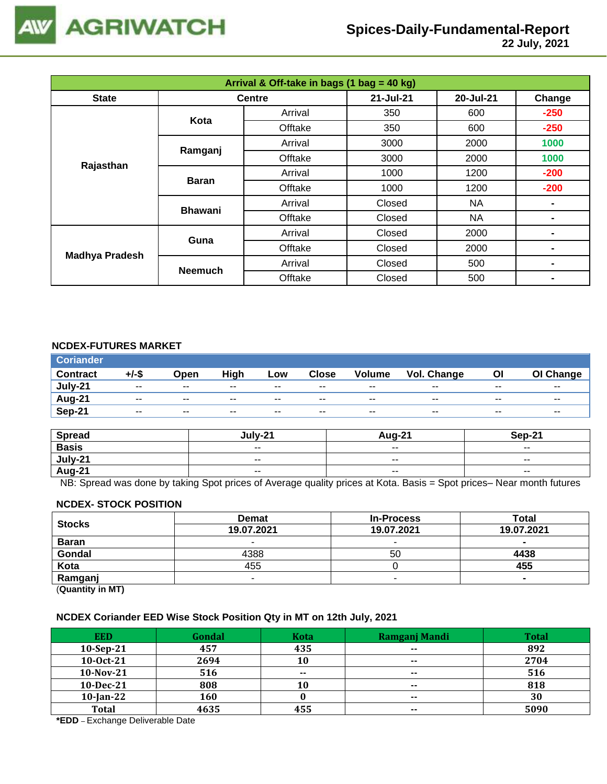

 **22 July, 2021**

| Arrival & Off-take in bags (1 bag = 40 kg) |                |               |           |           |        |  |  |
|--------------------------------------------|----------------|---------------|-----------|-----------|--------|--|--|
| <b>State</b>                               |                | <b>Centre</b> | 21-Jul-21 | 20-Jul-21 | Change |  |  |
|                                            | Kota           | Arrival       | 350       | 600       | $-250$ |  |  |
|                                            |                | Offtake       | 350       | 600       | $-250$ |  |  |
|                                            |                | Arrival       | 3000      | 2000      | 1000   |  |  |
|                                            | Ramganj        | Offtake       | 3000      | 2000      | 1000   |  |  |
| Rajasthan                                  |                | Arrival       | 1000      | 1200      | $-200$ |  |  |
|                                            | <b>Baran</b>   | Offtake       | 1000      | 1200      | $-200$ |  |  |
|                                            | <b>Bhawani</b> | Arrival       | Closed    | NA        |        |  |  |
|                                            |                | Offtake       | Closed    | <b>NA</b> |        |  |  |
|                                            | Guna           | Arrival       | Closed    | 2000      |        |  |  |
|                                            |                | Offtake       | Closed    | 2000      |        |  |  |
| <b>Madhya Pradesh</b>                      |                | Arrival       | Closed    | 500       |        |  |  |
|                                            | <b>Neemuch</b> | Offtake       | Closed    | 500       |        |  |  |

### **NCDEX-FUTURES MARKET**

| <b>Coriander</b> |               |               |       |       |               |               |             |       |                          |
|------------------|---------------|---------------|-------|-------|---------------|---------------|-------------|-------|--------------------------|
| <b>Contract</b>  | +/-\$         | Open          | High  | Low   | <b>Close</b>  | <b>Volume</b> | Vol. Change | OI    | OI Change                |
| July-21          | $\sim$ $\sim$ | $\sim$ $\sim$ | $- -$ | $- -$ | $\sim$ $\sim$ | $- -$         | $- -$       | $- -$ | $\overline{\phantom{a}}$ |
| Aug-21           | $- -$         | $- -$         | $- -$ | $- -$ | $- -$         | $- -$         | $- -$       | $- -$ | $- -$                    |
| Sep-21           | $- -$         | $\sim$ $\sim$ | $- -$ | --    | $- -$         | $- -$         | $-$         | $- -$ | $- -$                    |

| <b>Spread</b> | $1.111 - 2^2$ | Aua-21                   | <b>Sen-21</b>            |
|---------------|---------------|--------------------------|--------------------------|
| <b>Basis</b>  | $ -$          | $\overline{\phantom{a}}$ | $\overline{\phantom{a}}$ |
| July-21       | $- -$         | $\overline{\phantom{a}}$ | $- -$                    |
| <b>Aug-21</b> | $ -$          | $\overline{\phantom{a}}$ | $\sim$ $\sim$            |

NB: Spread was done by taking Spot prices of Average quality prices at Kota. Basis = Spot prices– Near month futures

#### **NCDEX- STOCK POSITION**

| <b>Stocks</b>           | <b>Demat</b> | <b>In-Process</b> | Total          |
|-------------------------|--------------|-------------------|----------------|
|                         | 19.07.2021   | 19.07.2021        | 19.07.2021     |
| <b>Baran</b>            | -            |                   | $\blacksquare$ |
| Gondal                  | 4388         | 50                | 4438           |
| Kota                    | 455          |                   | 455            |
| Ramganj                 | -            |                   |                |
| (0.1222, 0.0122, 0.000) |              |                   |                |

(**Quantity in MT)**

#### **NCDEX Coriander EED Wise Stock Position Qty in MT on 12th July, 2021**

| <b>EED</b>   | Gondal | <b>Kota</b> | Ramganj Mandi | <b>Total</b> |
|--------------|--------|-------------|---------------|--------------|
| $10-Sep-21$  | 457    | 435         | $\sim$ $\sim$ | 892          |
| 10-0ct-21    | 2694   | 10          | $- -$         | 2704         |
| 10-Nov-21    | 516    | $- -$       | $- -$         | 516          |
| 10-Dec-21    | 808    | 10          | $\sim$        | 818          |
| $10$ -Jan-22 | 160    |             | $\sim$ $\sim$ | 30           |
| <b>Total</b> | 4635   | 455         | $- -$         | 5090         |